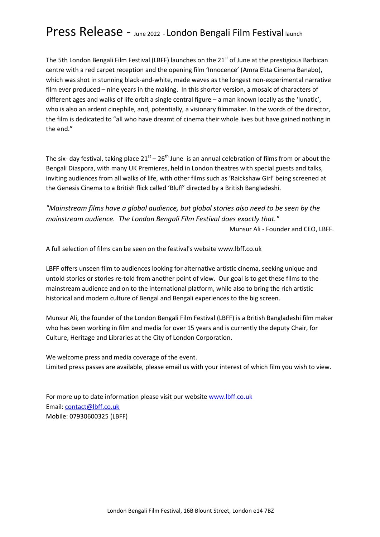## Press Release - June 2022 - London Bengali Film Festival launch

The 5th London Bengali Film Festival (LBFF) launches on the 21<sup>st</sup> of June at the prestigious Barbican centre with a red carpet reception and the opening film 'Innocence' (Amra Ekta Cinema Banabo), which was shot in stunning black-and-white, made waves as the longest non-experimental narrative film ever produced – nine years in the making. In this shorter version, a mosaic of characters of different ages and walks of life orbit a single central figure – a man known locally as the 'lunatic', who is also an ardent cinephile, and, potentially, a visionary filmmaker. In the words of the director, the film is dedicated to "all who have dreamt of cinema their whole lives but have gained nothing in the end."

The six- day festival, taking place  $21<sup>st</sup> - 26<sup>th</sup>$  June is an annual celebration of films from or about the Bengali Diaspora, with many UK Premieres, held in London theatres with special guests and talks, inviting audiences from all walks of life, with other films such as 'Raickshaw Girl' being screened at the Genesis Cinema to a British flick called 'Bluff' directed by a British Bangladeshi.

"Mainstream films have a global audience, but global stories also need to be seen by the mainstream audience. The London Bengali Film Festival does exactly that."

Munsur Ali - Founder and CEO, LBFF.

A full selection of films can be seen on the festival's website www.lbff.co.uk

LBFF offers unseen film to audiences looking for alternative artistic cinema, seeking unique and untold stories or stories re-told from another point of view. Our goal is to get these films to the mainstream audience and on to the international platform, while also to bring the rich artistic historical and modern culture of Bengal and Bengali experiences to the big screen.

Munsur Ali, the founder of the London Bengali Film Festival (LBFF) is a British Bangladeshi film maker who has been working in film and media for over 15 years and is currently the deputy Chair, for Culture, Heritage and Libraries at the City of London Corporation.

We welcome press and media coverage of the event. Limited press passes are available, please email us with your interest of which film you wish to view.

For more up to date information please visit our website www.lbff.co.uk Email: contact@lbff.co.uk Mobile: 07930600325 (LBFF)